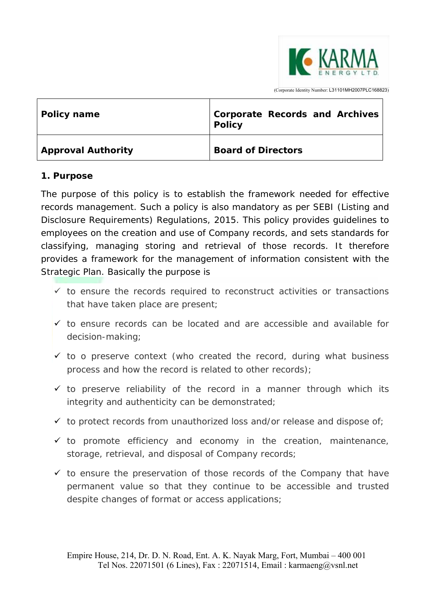

| Policy name               | Corporate Records and Archives<br><b>Policy</b> |
|---------------------------|-------------------------------------------------|
| <b>Approval Authority</b> | <b>Board of Directors</b>                       |

#### **1. Purpose**

The purpose of this policy is to establish the framework needed for effective records management. Such a policy is also mandatory as per SEBI (Listing and Disclosure Requirements) Regulations, 2015. This policy provides guidelines to employees on the creation and use of Company records, and sets standards for classifying, managing storing and retrieval of those records. It therefore provides a framework for the management of information consistent with the Strategic Plan. Basically the purpose is

- $\checkmark$  to ensure the records required to reconstruct activities or transactions that have taken place are present;
- $\checkmark$  to ensure records can be located and are accessible and available for decision-making;
- $\checkmark$  to o preserve context (who created the record, during what business process and how the record is related to other records);
- $\checkmark$  to preserve reliability of the record in a manner through which its integrity and authenticity can be demonstrated;
- $\checkmark$  to protect records from unauthorized loss and/or release and dispose of;
- $\checkmark$  to promote efficiency and economy in the creation, maintenance, storage, retrieval, and disposal of Company records;
- $\checkmark$  to ensure the preservation of those records of the Company that have permanent value so that they continue to be accessible and trusted despite changes of format or access applications;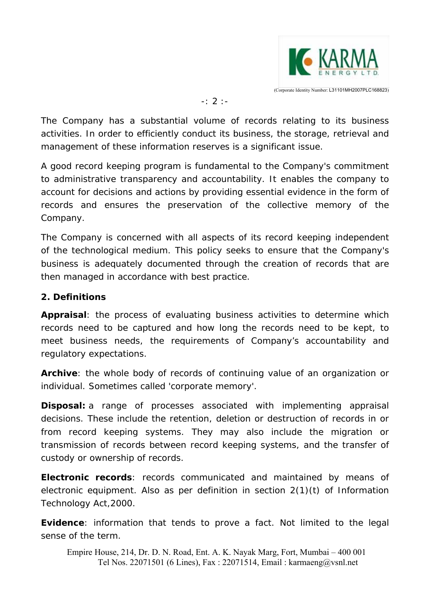

#### -: 2 :-

The Company has a substantial volume of records relating to its business activities. In order to efficiently conduct its business, the storage, retrieval and management of these information reserves is a significant issue.

A good record keeping program is fundamental to the Company's commitment to administrative transparency and accountability. It enables the company to account for decisions and actions by providing essential evidence in the form of records and ensures the preservation of the collective memory of the Company.

The Company is concerned with all aspects of its record keeping independent of the technological medium. This policy seeks to ensure that the Company's business is adequately documented through the creation of records that are then managed in accordance with best practice.

#### **2. Definitions**

**Appraisal**: the process of evaluating business activities to determine which records need to be captured and how long the records need to be kept, to meet business needs, the requirements of Company's accountability and regulatory expectations.

**Archive**: the whole body of records of continuing value of an organization or individual. Sometimes called 'corporate memory'.

**Disposal:** a range of processes associated with implementing appraisal decisions. These include the retention, deletion or destruction of records in or from record keeping systems. They may also include the migration or transmission of records between record keeping systems, and the transfer of custody or ownership of records.

**Electronic records**: records communicated and maintained by means of electronic equipment. Also as per definition in section 2(1)(t) of Information Technology Act,2000.

**Evidence**: information that tends to prove a fact. Not limited to the legal sense of the term.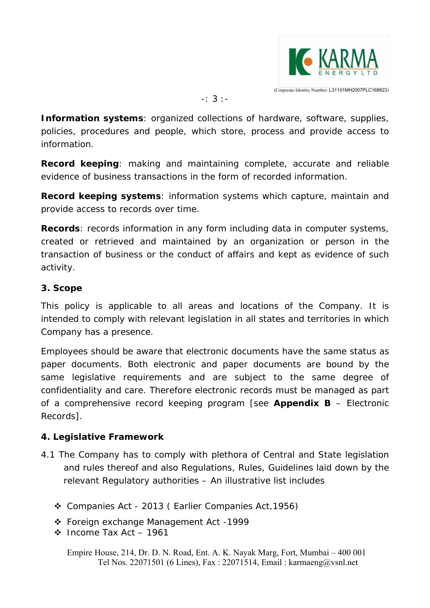

-: 3 :-

**Information systems**: organized collections of hardware, software, supplies, policies, procedures and people, which store, process and provide access to information.

**Record keeping**: making and maintaining complete, accurate and reliable evidence of business transactions in the form of recorded information.

**Record keeping systems**: information systems which capture, maintain and provide access to records over time.

**Records**: records information in any form including data in computer systems, created or retrieved and maintained by an organization or person in the transaction of business or the conduct of affairs and kept as evidence of such activity.

#### **3. Scope**

This policy is applicable to all areas and locations of the Company. It is intended to comply with relevant legislation in all states and territories in which Company has a presence.

Employees should be aware that electronic documents have the same status as paper documents. Both electronic and paper documents are bound by the same legislative requirements and are subject to the same degree of confidentiality and care. Therefore electronic records must be managed as part of a comprehensive record keeping program [see **Appendix B** – Electronic Records].

#### **4. Legislative Framework**

- 4.1 The Company has to comply with plethora of Central and State legislation and rules thereof and also Regulations, Rules, Guidelines laid down by the relevant Regulatory authorities – An illustrative list includes
	- Companies Act 2013 ( Earlier Companies Act,1956)
	- Foreign exchange Management Act -1999
	- $\cdot$  Income Tax Act 1961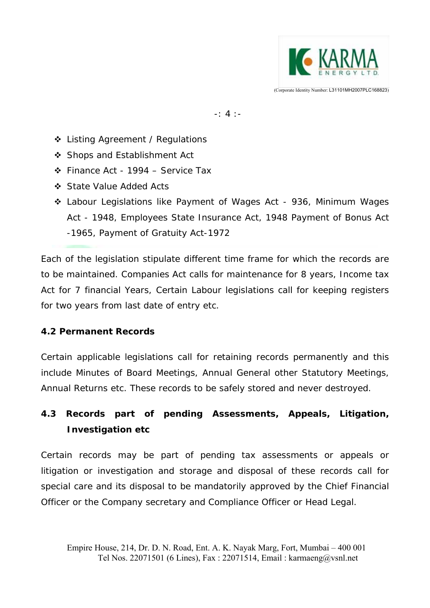

-: 4 :-

- ❖ Listing Agreement / Regulations
- ❖ Shops and Establishment Act
- Finance Act 1994 Service Tax
- State Value Added Acts
- Labour Legislations like Payment of Wages Act 936, Minimum Wages Act - 1948, Employees State Insurance Act, 1948 Payment of Bonus Act -1965, Payment of Gratuity Act-1972

Each of the legislation stipulate different time frame for which the records are to be maintained. Companies Act calls for maintenance for 8 years, Income tax Act for 7 financial Years, Certain Labour legislations call for keeping registers for two years from last date of entry etc.

#### **4.2 Permanent Records**

Certain applicable legislations call for retaining records permanently and this include Minutes of Board Meetings, Annual General other Statutory Meetings, Annual Returns etc. These records to be safely stored and never destroyed.

# **4.3 Records part of pending Assessments, Appeals, Litigation, Investigation etc**

Certain records may be part of pending tax assessments or appeals or litigation or investigation and storage and disposal of these records call for special care and its disposal to be mandatorily approved by the Chief Financial Officer or the Company secretary and Compliance Officer or Head Legal.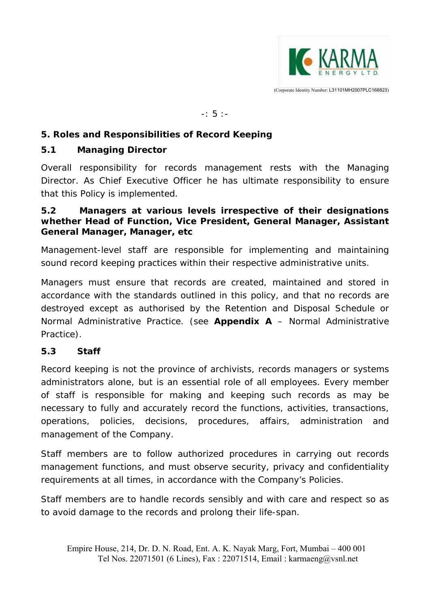

 $-: 5 : -$ 

#### **5. Roles and Responsibilities of Record Keeping**

#### **5.1 Managing Director**

Overall responsibility for records management rests with the Managing Director. As Chief Executive Officer he has ultimate responsibility to ensure that this Policy is implemented.

#### **5.2 Managers at various levels irrespective of their designations whether Head of Function, Vice President, General Manager, Assistant General Manager, Manager, etc**

Management-level staff are responsible for implementing and maintaining sound record keeping practices within their respective administrative units.

Managers must ensure that records are created, maintained and stored in accordance with the standards outlined in this policy, and that no records are destroyed except as authorised by the Retention and Disposal Schedule or Normal Administrative Practice. (see **Appendix A** – Normal Administrative Practice).

#### **5.3 Staff**

Record keeping is not the province of archivists, records managers or systems administrators alone, but is an essential role of all employees. Every member of staff is responsible for making and keeping such records as may be necessary to fully and accurately record the functions, activities, transactions, operations, policies, decisions, procedures, affairs, administration and management of the Company.

Staff members are to follow authorized procedures in carrying out records management functions, and must observe security, privacy and confidentiality requirements at all times, in accordance with the Company's Policies.

Staff members are to handle records sensibly and with care and respect so as to avoid damage to the records and prolong their life-span.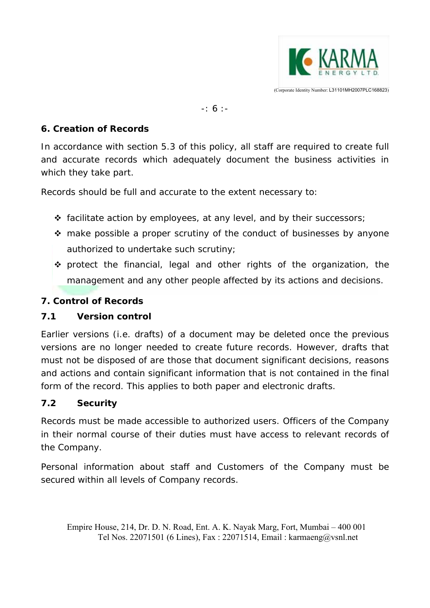

-: 6 :-

#### **6. Creation of Records**

In accordance with section 5.3 of this policy, all staff are required to create full and accurate records which adequately document the business activities in which they take part.

Records should be full and accurate to the extent necessary to:

- facilitate action by employees, at any level, and by their successors;
- $\cdot$  make possible a proper scrutiny of the conduct of businesses by anyone authorized to undertake such scrutiny;
- $\cdot$  protect the financial, legal and other rights of the organization, the management and any other people affected by its actions and decisions.

### **7. Control of Records**

#### **7.1 Version control**

Earlier versions (i.e. drafts) of a document may be deleted once the previous versions are no longer needed to create future records. However, drafts that must not be disposed of are those that document significant decisions, reasons and actions and contain significant information that is not contained in the final form of the record. This applies to both paper and electronic drafts.

## **7.2 Security**

Records must be made accessible to authorized users. Officers of the Company in their normal course of their duties must have access to relevant records of the Company.

Personal information about staff and Customers of the Company must be secured within all levels of Company records.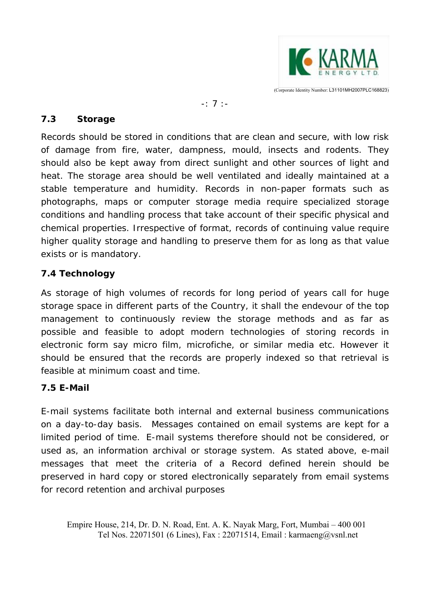

#### -: 7 :-

#### **7.3 Storage**

Records should be stored in conditions that are clean and secure, with low risk of damage from fire, water, dampness, mould, insects and rodents. They should also be kept away from direct sunlight and other sources of light and heat. The storage area should be well ventilated and ideally maintained at a stable temperature and humidity. Records in non-paper formats such as photographs, maps or computer storage media require specialized storage conditions and handling process that take account of their specific physical and chemical properties. Irrespective of format, records of continuing value require higher quality storage and handling to preserve them for as long as that value exists or is mandatory.

#### **7.4 Technology**

As storage of high volumes of records for long period of years call for huge storage space in different parts of the Country, it shall the endevour of the top management to continuously review the storage methods and as far as possible and feasible to adopt modern technologies of storing records in electronic form say micro film, microfiche, or similar media etc. However it should be ensured that the records are properly indexed so that retrieval is feasible at minimum coast and time.

#### **7.5 E-Mail**

E-mail systems facilitate both internal and external business communications on a day-to-day basis. Messages contained on email systems are kept for a limited period of time. E-mail systems therefore should not be considered, or used as, an information archival or storage system. As stated above, e-mail messages that meet the criteria of a Record defined herein should be preserved in hard copy or stored electronically separately from email systems for record retention and archival purposes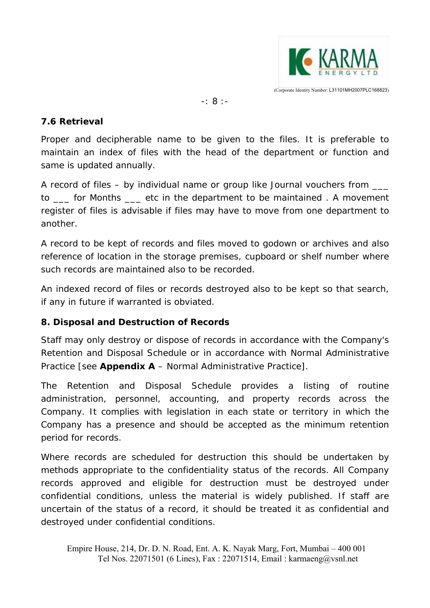

-: 8 :-

#### **7.6 Retrieval**

Proper and decipherable name to be given to the files. It is preferable to maintain an index of files with the head of the department or function and same is updated annually.

A record of files – by individual name or group like Journal vouchers from \_\_\_ to for Months etc in the department to be maintained . A movement register of files is advisable if files may have to move from one department to another.

A record to be kept of records and files moved to godown or archives and also reference of location in the storage premises, cupboard or shelf number where such records are maintained also to be recorded.

An indexed record of files or records destroyed also to be kept so that search, if any in future if warranted is obviated.

#### **8. Disposal and Destruction of Records**

Staff may only destroy or dispose of records in accordance with the Company's Retention and Disposal Schedule or in accordance with Normal Administrative Practice [see **Appendix A** – Normal Administrative Practice].

The Retention and Disposal Schedule provides a listing of routine administration, personnel, accounting, and property records across the Company. It complies with legislation in each state or territory in which the Company has a presence and should be accepted as the minimum retention period for records.

Where records are scheduled for destruction this should be undertaken by methods appropriate to the confidentiality status of the records. All Company records approved and eligible for destruction must be destroyed under confidential conditions, unless the material is widely published. If staff are uncertain of the status of a record, it should be treated it as confidential and destroyed under confidential conditions.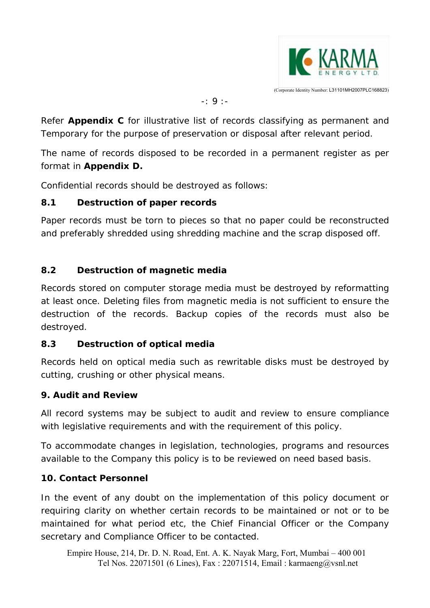

-: 9 :-

Refer **Appendix C** for illustrative list of records classifying as permanent and Temporary for the purpose of preservation or disposal after relevant period.

The name of records disposed to be recorded in a permanent register as per format in **Appendix D.** 

Confidential records should be destroyed as follows:

## **8.1 Destruction of paper records**

Paper records must be torn to pieces so that no paper could be reconstructed and preferably shredded using shredding machine and the scrap disposed off.

## **8.2 Destruction of magnetic media**

Records stored on computer storage media must be destroyed by reformatting at least once. Deleting files from magnetic media is not sufficient to ensure the destruction of the records. Backup copies of the records must also be destroyed.

## **8.3 Destruction of optical media**

Records held on optical media such as rewritable disks must be destroyed by cutting, crushing or other physical means.

## **9. Audit and Review**

All record systems may be subject to audit and review to ensure compliance with legislative requirements and with the requirement of this policy.

To accommodate changes in legislation, technologies, programs and resources available to the Company this policy is to be reviewed on need based basis.

## **10. Contact Personnel**

In the event of any doubt on the implementation of this policy document or requiring clarity on whether certain records to be maintained or not or to be maintained for what period etc, the Chief Financial Officer or the Company secretary and Compliance Officer to be contacted.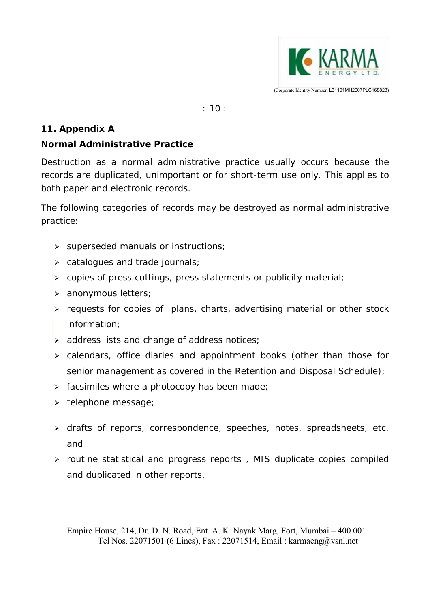

-: 10 :-

### **11. Appendix A**

## **Normal Administrative Practice**

Destruction as a normal administrative practice usually occurs because the records are duplicated, unimportant or for short-term use only. This applies to both paper and electronic records.

The following categories of records may be destroyed as normal administrative practice:

- $\triangleright$  superseded manuals or instructions;
- $\triangleright$  catalogues and trade journals;
- $\triangleright$  copies of press cuttings, press statements or publicity material;
- > anonymous letters;
- $\triangleright$  requests for copies of plans, charts, advertising material or other stock information;
- $\triangleright$  address lists and change of address notices;
- calendars, office diaries and appointment books (other than those for senior management as covered in the Retention and Disposal Schedule);
- $\triangleright$  facsimiles where a photocopy has been made;
- $\triangleright$  telephone message;
- > drafts of reports, correspondence, speeches, notes, spreadsheets, etc. and
- $\triangleright$  routine statistical and progress reports, MIS duplicate copies compiled and duplicated in other reports.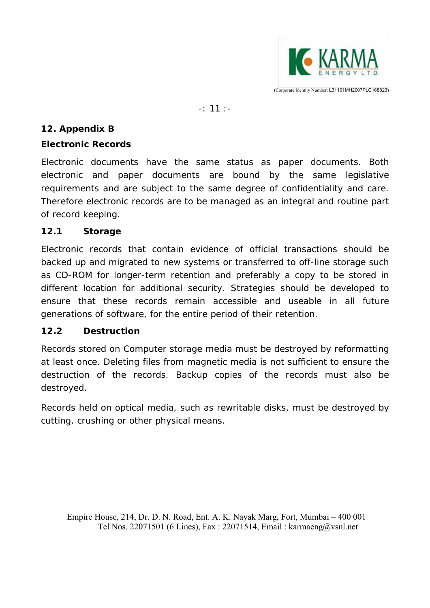

-: 11 :-

### **12. Appendix B**

## **Electronic Records**

Electronic documents have the same status as paper documents. Both electronic and paper documents are bound by the same legislative requirements and are subject to the same degree of confidentiality and care. Therefore electronic records are to be managed as an integral and routine part of record keeping.

## **12.1 Storage**

Electronic records that contain evidence of official transactions should be backed up and migrated to new systems or transferred to off-line storage such as CD-ROM for longer-term retention and preferably a copy to be stored in different location for additional security. Strategies should be developed to ensure that these records remain accessible and useable in all future generations of software, for the entire period of their retention.

## **12.2 Destruction**

Records stored on Computer storage media must be destroyed by reformatting at least once. Deleting files from magnetic media is not sufficient to ensure the destruction of the records. Backup copies of the records must also be destroyed.

Records held on optical media, such as rewritable disks, must be destroyed by cutting, crushing or other physical means.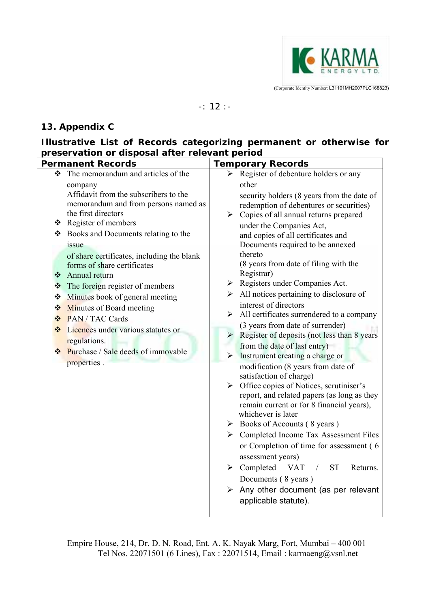

#### -: 12 :-

#### **13. Appendix C**

#### **Illustrative List of Records categorizing permanent or otherwise for preservation or disposal after relevant period**

| <b>Permanent Records</b> |                                                                                                                                                                                                                                                                                                                                                                                                                                                                                                                                                                    | <b>Temporary Records</b> |                                                                                                                                                                                                                                                                                                                                                                                                                                                                                                                                                                                                                                                                                                                                                                                                                                                                                                                                                                                                                                                                                                                                                                                                                                                                                                                                                                             |
|--------------------------|--------------------------------------------------------------------------------------------------------------------------------------------------------------------------------------------------------------------------------------------------------------------------------------------------------------------------------------------------------------------------------------------------------------------------------------------------------------------------------------------------------------------------------------------------------------------|--------------------------|-----------------------------------------------------------------------------------------------------------------------------------------------------------------------------------------------------------------------------------------------------------------------------------------------------------------------------------------------------------------------------------------------------------------------------------------------------------------------------------------------------------------------------------------------------------------------------------------------------------------------------------------------------------------------------------------------------------------------------------------------------------------------------------------------------------------------------------------------------------------------------------------------------------------------------------------------------------------------------------------------------------------------------------------------------------------------------------------------------------------------------------------------------------------------------------------------------------------------------------------------------------------------------------------------------------------------------------------------------------------------------|
| ❖<br>❖<br>❖<br>❖<br>❖    | The memorandum and articles of the<br>company<br>Affidavit from the subscribers to the<br>memorandum and from persons named as<br>the first directors<br>❖ Register of members<br>❖ Books and Documents relating to the<br>issue<br>of share certificates, including the blank<br>forms of share certificates<br>Annual return<br>The foreign register of members<br>Minutes book of general meeting<br>Minutes of Board meeting<br>❖ PAN / TAC Cards<br>Licences under various statutes or<br>regulations.<br>❖ Purchase / Sale deeds of immovable<br>properties. | ≻                        | Register of debenture holders or any<br>other<br>security holders (8 years from the date of<br>redemption of debentures or securities)<br>$\triangleright$ Copies of all annual returns prepared<br>under the Companies Act,<br>and copies of all certificates and<br>Documents required to be annexed<br>thereto<br>(8 years from date of filing with the<br>Registrar)<br>$\triangleright$ Registers under Companies Act.<br>$\triangleright$ All notices pertaining to disclosure of<br>interest of directors<br>$\triangleright$ All certificates surrendered to a company<br>(3 years from date of surrender)<br>$\triangleright$ Register of deposits (not less than 8 years)<br>from the date of last entry)<br>$\triangleright$ Instrument creating a charge or<br>modification (8 years from date of<br>satisfaction of charge)<br>$\triangleright$ Office copies of Notices, scrutiniser's<br>report, and related papers (as long as they<br>remain current or for 8 financial years),<br>whichever is later<br>$\triangleright$ Books of Accounts (8 years)<br>> Completed Income Tax Assessment Files<br>or Completion of time for assessment (6<br>assessment years)<br><b>ST</b><br>$\triangleright$ Completed<br><b>VAT</b><br>Returns.<br>$\sqrt{2}$<br>Documents (8 years)<br>$\triangleright$ Any other document (as per relevant<br>applicable statute). |
|                          |                                                                                                                                                                                                                                                                                                                                                                                                                                                                                                                                                                    |                          |                                                                                                                                                                                                                                                                                                                                                                                                                                                                                                                                                                                                                                                                                                                                                                                                                                                                                                                                                                                                                                                                                                                                                                                                                                                                                                                                                                             |